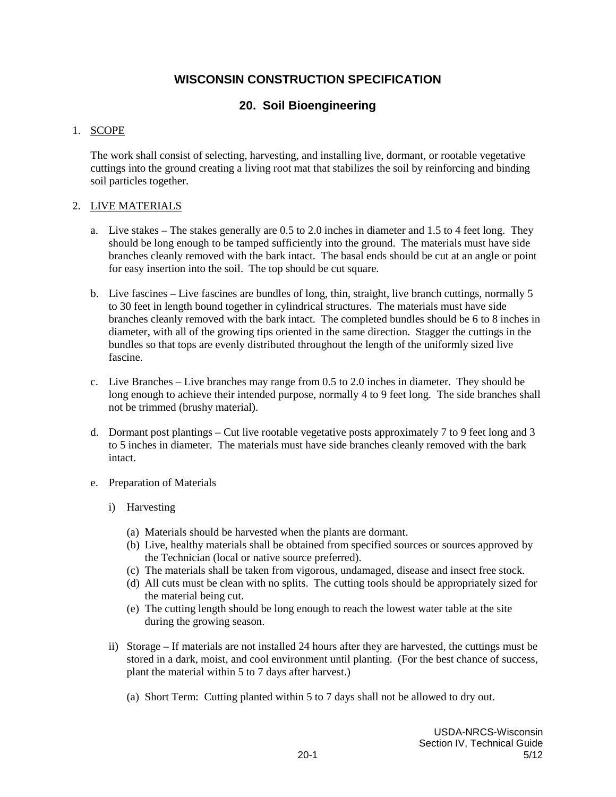# **WISCONSIN CONSTRUCTION SPECIFICATION**

# **20. Soil Bioengineering**

### 1. SCOPE

The work shall consist of selecting, harvesting, and installing live, dormant, or rootable vegetative cuttings into the ground creating a living root mat that stabilizes the soil by reinforcing and binding soil particles together.

### 2. LIVE MATERIALS

- a. Live stakes The stakes generally are 0.5 to 2.0 inches in diameter and 1.5 to 4 feet long. They should be long enough to be tamped sufficiently into the ground. The materials must have side branches cleanly removed with the bark intact. The basal ends should be cut at an angle or point for easy insertion into the soil. The top should be cut square.
- b. Live fascines Live fascines are bundles of long, thin, straight, live branch cuttings, normally 5 to 30 feet in length bound together in cylindrical structures. The materials must have side branches cleanly removed with the bark intact. The completed bundles should be 6 to 8 inches in diameter, with all of the growing tips oriented in the same direction. Stagger the cuttings in the bundles so that tops are evenly distributed throughout the length of the uniformly sized live fascine.
- c. Live Branches Live branches may range from 0.5 to 2.0 inches in diameter. They should be long enough to achieve their intended purpose, normally 4 to 9 feet long. The side branches shall not be trimmed (brushy material).
- d. Dormant post plantings Cut live rootable vegetative posts approximately 7 to 9 feet long and 3 to 5 inches in diameter. The materials must have side branches cleanly removed with the bark intact.
- e. Preparation of Materials
	- i) Harvesting
		- (a) Materials should be harvested when the plants are dormant.
		- (b) Live, healthy materials shall be obtained from specified sources or sources approved by the Technician (local or native source preferred).
		- (c) The materials shall be taken from vigorous, undamaged, disease and insect free stock.
		- (d) All cuts must be clean with no splits. The cutting tools should be appropriately sized for the material being cut.
		- (e) The cutting length should be long enough to reach the lowest water table at the site during the growing season.
	- ii) Storage If materials are not installed 24 hours after they are harvested, the cuttings must be stored in a dark, moist, and cool environment until planting. (For the best chance of success, plant the material within 5 to 7 days after harvest.)
		- (a) Short Term: Cutting planted within 5 to 7 days shall not be allowed to dry out.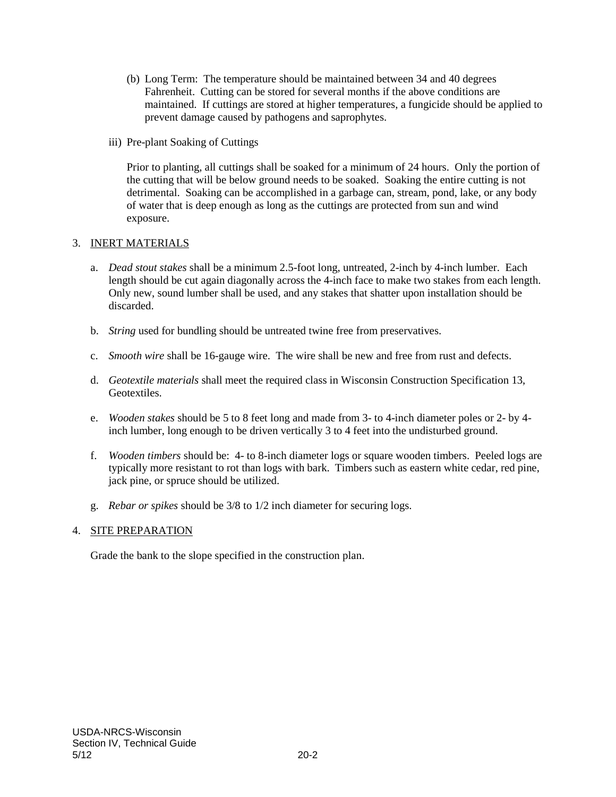- (b) Long Term: The temperature should be maintained between 34 and 40 degrees Fahrenheit. Cutting can be stored for several months if the above conditions are maintained. If cuttings are stored at higher temperatures, a fungicide should be applied to prevent damage caused by pathogens and saprophytes.
- iii) Pre-plant Soaking of Cuttings

Prior to planting, all cuttings shall be soaked for a minimum of 24 hours. Only the portion of the cutting that will be below ground needs to be soaked. Soaking the entire cutting is not detrimental. Soaking can be accomplished in a garbage can, stream, pond, lake, or any body of water that is deep enough as long as the cuttings are protected from sun and wind exposure.

## 3. INERT MATERIALS

- a. *Dead stout stakes* shall be a minimum 2.5-foot long, untreated, 2-inch by 4-inch lumber. Each length should be cut again diagonally across the 4-inch face to make two stakes from each length. Only new, sound lumber shall be used, and any stakes that shatter upon installation should be discarded.
- b. *String* used for bundling should be untreated twine free from preservatives.
- c. *Smooth wire* shall be 16-gauge wire. The wire shall be new and free from rust and defects.
- d. *Geotextile materials* shall meet the required class in Wisconsin Construction Specification 13, Geotextiles.
- e. *Wooden stakes* should be 5 to 8 feet long and made from 3- to 4-inch diameter poles or 2- by 4 inch lumber, long enough to be driven vertically 3 to 4 feet into the undisturbed ground.
- f. *Wooden timbers* should be: 4- to 8-inch diameter logs or square wooden timbers. Peeled logs are typically more resistant to rot than logs with bark. Timbers such as eastern white cedar, red pine, jack pine, or spruce should be utilized.
- g. *Rebar or spikes* should be 3/8 to 1/2 inch diameter for securing logs.

## 4. SITE PREPARATION

Grade the bank to the slope specified in the construction plan.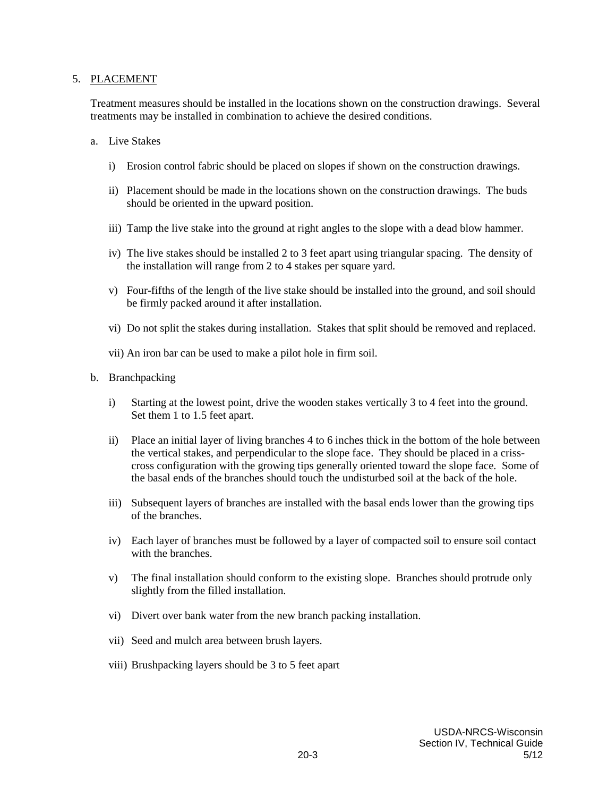#### 5. PLACEMENT

Treatment measures should be installed in the locations shown on the construction drawings. Several treatments may be installed in combination to achieve the desired conditions.

#### a. Live Stakes

- i) Erosion control fabric should be placed on slopes if shown on the construction drawings.
- ii) Placement should be made in the locations shown on the construction drawings. The buds should be oriented in the upward position.
- iii) Tamp the live stake into the ground at right angles to the slope with a dead blow hammer.
- iv) The live stakes should be installed 2 to 3 feet apart using triangular spacing. The density of the installation will range from 2 to 4 stakes per square yard.
- v) Four-fifths of the length of the live stake should be installed into the ground, and soil should be firmly packed around it after installation.
- vi) Do not split the stakes during installation. Stakes that split should be removed and replaced.
- vii) An iron bar can be used to make a pilot hole in firm soil.
- b. Branchpacking
	- i) Starting at the lowest point, drive the wooden stakes vertically 3 to 4 feet into the ground. Set them 1 to 1.5 feet apart.
	- ii) Place an initial layer of living branches 4 to 6 inches thick in the bottom of the hole between the vertical stakes, and perpendicular to the slope face. They should be placed in a crisscross configuration with the growing tips generally oriented toward the slope face. Some of the basal ends of the branches should touch the undisturbed soil at the back of the hole.
	- iii) Subsequent layers of branches are installed with the basal ends lower than the growing tips of the branches.
	- iv) Each layer of branches must be followed by a layer of compacted soil to ensure soil contact with the branches.
	- v) The final installation should conform to the existing slope. Branches should protrude only slightly from the filled installation.
	- vi) Divert over bank water from the new branch packing installation.
	- vii) Seed and mulch area between brush layers.
	- viii) Brushpacking layers should be 3 to 5 feet apart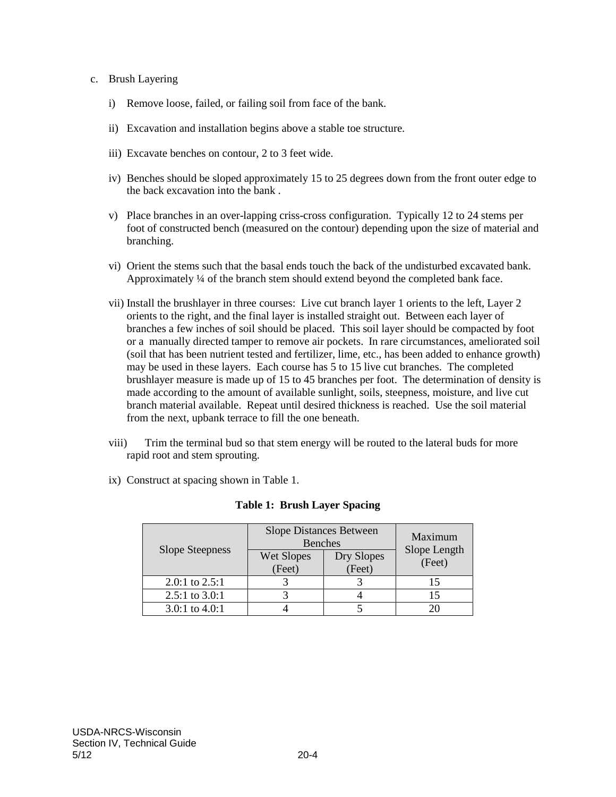#### c. Brush Layering

- i) Remove loose, failed, or failing soil from face of the bank.
- ii) Excavation and installation begins above a stable toe structure.
- iii) Excavate benches on contour, 2 to 3 feet wide.
- iv) Benches should be sloped approximately 15 to 25 degrees down from the front outer edge to the back excavation into the bank .
- v) Place branches in an over-lapping criss-cross configuration. Typically 12 to 24 stems per foot of constructed bench (measured on the contour) depending upon the size of material and branching.
- vi) Orient the stems such that the basal ends touch the back of the undisturbed excavated bank. Approximately ¼ of the branch stem should extend beyond the completed bank face.
- vii) Install the brushlayer in three courses: Live cut branch layer 1 orients to the left, Layer 2 orients to the right, and the final layer is installed straight out. Between each layer of branches a few inches of soil should be placed. This soil layer should be compacted by foot or a manually directed tamper to remove air pockets. In rare circumstances, ameliorated soil (soil that has been nutrient tested and fertilizer, lime, etc., has been added to enhance growth) may be used in these layers. Each course has 5 to 15 live cut branches. The completed brushlayer measure is made up of 15 to 45 branches per foot. The determination of density is made according to the amount of available sunlight, soils, steepness, moisture, and live cut branch material available. Repeat until desired thickness is reached. Use the soil material from the next, upbank terrace to fill the one beneath.
- viii) Trim the terminal bud so that stem energy will be routed to the lateral buds for more rapid root and stem sprouting.
- ix) Construct at spacing shown in Table 1.

| <b>Slope Steepness</b> | <b>Slope Distances Between</b><br><b>Benches</b> |            | Maximum                |
|------------------------|--------------------------------------------------|------------|------------------------|
|                        | Wet Slopes                                       | Dry Slopes | Slope Length<br>(Feet) |
|                        | (Feet)                                           | (Feet)     |                        |
| 2.0:1 to $2.5:1$       |                                                  |            |                        |
| 2.5:1 to $3.0:1$       |                                                  |            |                        |
| 3.0:1 to $4.0:1$       |                                                  |            |                        |

#### **Table 1: Brush Layer Spacing**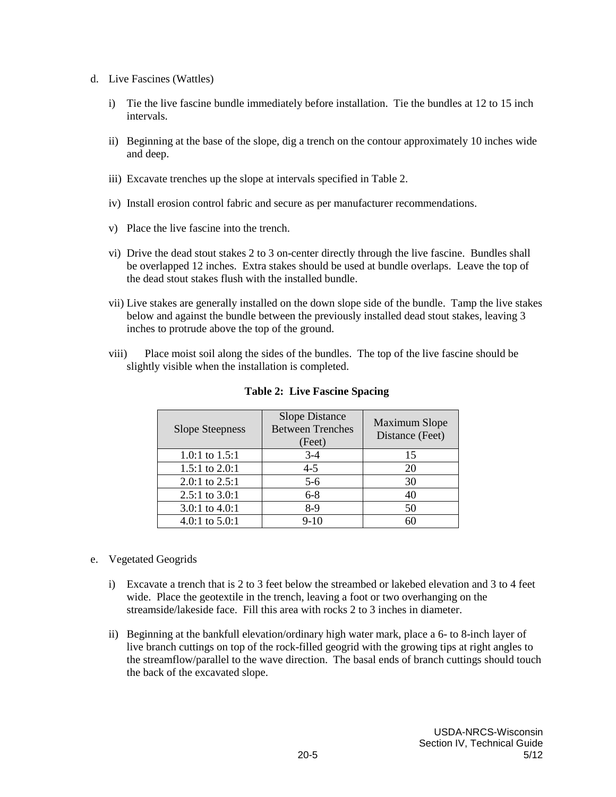- d. Live Fascines (Wattles)
	- i) Tie the live fascine bundle immediately before installation. Tie the bundles at 12 to 15 inch intervals.
	- ii) Beginning at the base of the slope, dig a trench on the contour approximately 10 inches wide and deep.
	- iii) Excavate trenches up the slope at intervals specified in Table 2.
	- iv) Install erosion control fabric and secure as per manufacturer recommendations.
	- v) Place the live fascine into the trench.
	- vi) Drive the dead stout stakes 2 to 3 on-center directly through the live fascine. Bundles shall be overlapped 12 inches. Extra stakes should be used at bundle overlaps. Leave the top of the dead stout stakes flush with the installed bundle.
	- vii) Live stakes are generally installed on the down slope side of the bundle. Tamp the live stakes below and against the bundle between the previously installed dead stout stakes, leaving 3 inches to protrude above the top of the ground.
	- viii) Place moist soil along the sides of the bundles. The top of the live fascine should be slightly visible when the installation is completed.

| <b>Slope Steepness</b> | <b>Slope Distance</b><br><b>Between Trenches</b><br>(Feet) | <b>Maximum Slope</b><br>Distance (Feet) |
|------------------------|------------------------------------------------------------|-----------------------------------------|
| 1.0:1 to $1.5:1$       | $3 - 4$                                                    | 15                                      |
| 1.5:1 to $2.0:1$       | $4 - 5$                                                    | 20                                      |
| 2.0:1 to $2.5:1$       | $5-6$                                                      | 30                                      |
| $2.5:1$ to $3.0:1$     | $6 - 8$                                                    | 40                                      |
| 3.0:1 to $4.0:1$       | 8-9                                                        | 50                                      |
| 4.0:1 to $5.0:1$       | $9-10$                                                     | 60                                      |

**Table 2: Live Fascine Spacing**

- e. Vegetated Geogrids
	- i) Excavate a trench that is 2 to 3 feet below the streambed or lakebed elevation and 3 to 4 feet wide. Place the geotextile in the trench, leaving a foot or two overhanging on the streamside/lakeside face. Fill this area with rocks 2 to 3 inches in diameter.
	- ii) Beginning at the bankfull elevation/ordinary high water mark, place a 6- to 8-inch layer of live branch cuttings on top of the rock-filled geogrid with the growing tips at right angles to the streamflow/parallel to the wave direction. The basal ends of branch cuttings should touch the back of the excavated slope.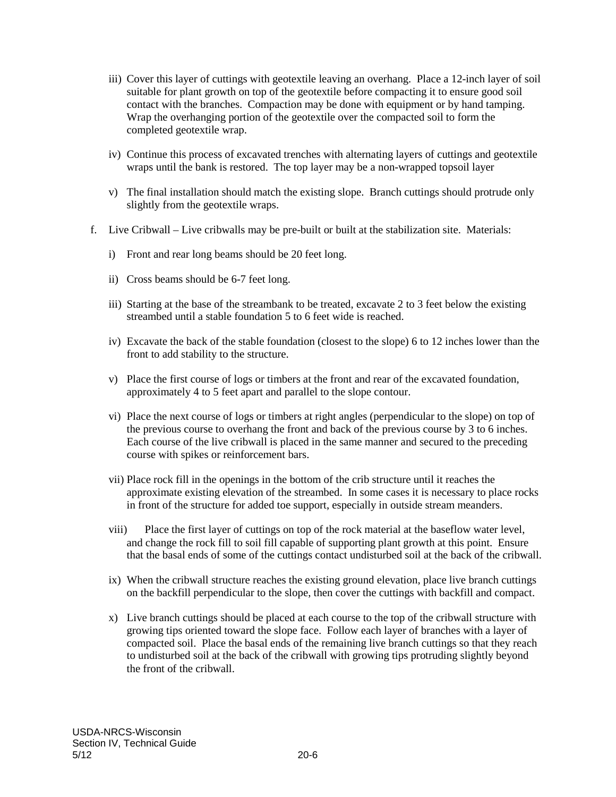- iii) Cover this layer of cuttings with geotextile leaving an overhang. Place a 12-inch layer of soil suitable for plant growth on top of the geotextile before compacting it to ensure good soil contact with the branches. Compaction may be done with equipment or by hand tamping. Wrap the overhanging portion of the geotextile over the compacted soil to form the completed geotextile wrap.
- iv) Continue this process of excavated trenches with alternating layers of cuttings and geotextile wraps until the bank is restored. The top layer may be a non-wrapped topsoil layer
- v) The final installation should match the existing slope. Branch cuttings should protrude only slightly from the geotextile wraps.
- f. Live Cribwall Live cribwalls may be pre-built or built at the stabilization site. Materials:
	- i) Front and rear long beams should be 20 feet long.
	- ii) Cross beams should be 6-7 feet long.
	- iii) Starting at the base of the streambank to be treated, excavate 2 to 3 feet below the existing streambed until a stable foundation 5 to 6 feet wide is reached.
	- iv) Excavate the back of the stable foundation (closest to the slope) 6 to 12 inches lower than the front to add stability to the structure.
	- v) Place the first course of logs or timbers at the front and rear of the excavated foundation, approximately 4 to 5 feet apart and parallel to the slope contour.
	- vi) Place the next course of logs or timbers at right angles (perpendicular to the slope) on top of the previous course to overhang the front and back of the previous course by 3 to 6 inches. Each course of the live cribwall is placed in the same manner and secured to the preceding course with spikes or reinforcement bars.
	- vii) Place rock fill in the openings in the bottom of the crib structure until it reaches the approximate existing elevation of the streambed. In some cases it is necessary to place rocks in front of the structure for added toe support, especially in outside stream meanders.
	- viii) Place the first layer of cuttings on top of the rock material at the baseflow water level, and change the rock fill to soil fill capable of supporting plant growth at this point. Ensure that the basal ends of some of the cuttings contact undisturbed soil at the back of the cribwall.
	- ix) When the cribwall structure reaches the existing ground elevation, place live branch cuttings on the backfill perpendicular to the slope, then cover the cuttings with backfill and compact.
	- x) Live branch cuttings should be placed at each course to the top of the cribwall structure with growing tips oriented toward the slope face. Follow each layer of branches with a layer of compacted soil. Place the basal ends of the remaining live branch cuttings so that they reach to undisturbed soil at the back of the cribwall with growing tips protruding slightly beyond the front of the cribwall.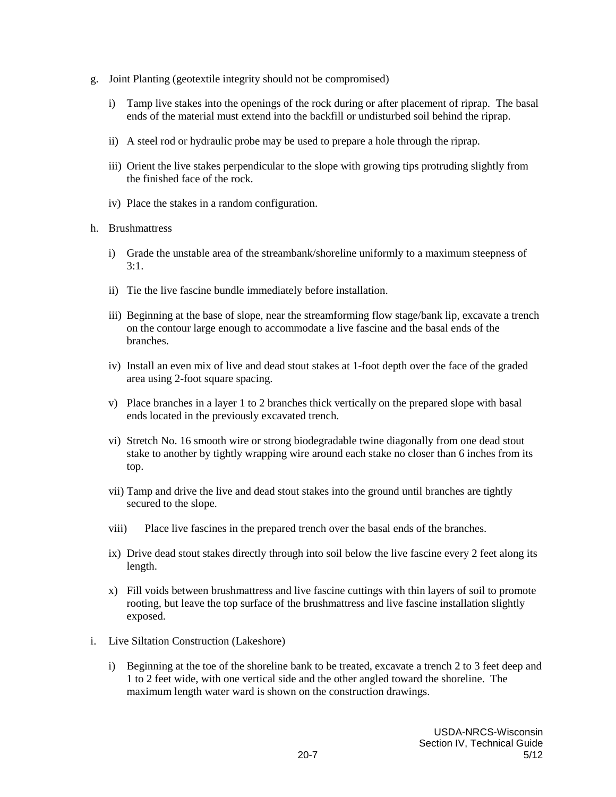- g. Joint Planting (geotextile integrity should not be compromised)
	- i) Tamp live stakes into the openings of the rock during or after placement of riprap. The basal ends of the material must extend into the backfill or undisturbed soil behind the riprap.
	- ii) A steel rod or hydraulic probe may be used to prepare a hole through the riprap.
	- iii) Orient the live stakes perpendicular to the slope with growing tips protruding slightly from the finished face of the rock.
	- iv) Place the stakes in a random configuration.
- h. Brushmattress
	- i) Grade the unstable area of the streambank/shoreline uniformly to a maximum steepness of 3:1.
	- ii) Tie the live fascine bundle immediately before installation.
	- iii) Beginning at the base of slope, near the streamforming flow stage/bank lip, excavate a trench on the contour large enough to accommodate a live fascine and the basal ends of the branches.
	- iv) Install an even mix of live and dead stout stakes at 1-foot depth over the face of the graded area using 2-foot square spacing.
	- v) Place branches in a layer 1 to 2 branches thick vertically on the prepared slope with basal ends located in the previously excavated trench.
	- vi) Stretch No. 16 smooth wire or strong biodegradable twine diagonally from one dead stout stake to another by tightly wrapping wire around each stake no closer than 6 inches from its top.
	- vii) Tamp and drive the live and dead stout stakes into the ground until branches are tightly secured to the slope.
	- viii) Place live fascines in the prepared trench over the basal ends of the branches.
	- ix) Drive dead stout stakes directly through into soil below the live fascine every 2 feet along its length.
	- x) Fill voids between brushmattress and live fascine cuttings with thin layers of soil to promote rooting, but leave the top surface of the brushmattress and live fascine installation slightly exposed.
- i. Live Siltation Construction (Lakeshore)
	- i) Beginning at the toe of the shoreline bank to be treated, excavate a trench 2 to 3 feet deep and 1 to 2 feet wide, with one vertical side and the other angled toward the shoreline. The maximum length water ward is shown on the construction drawings.